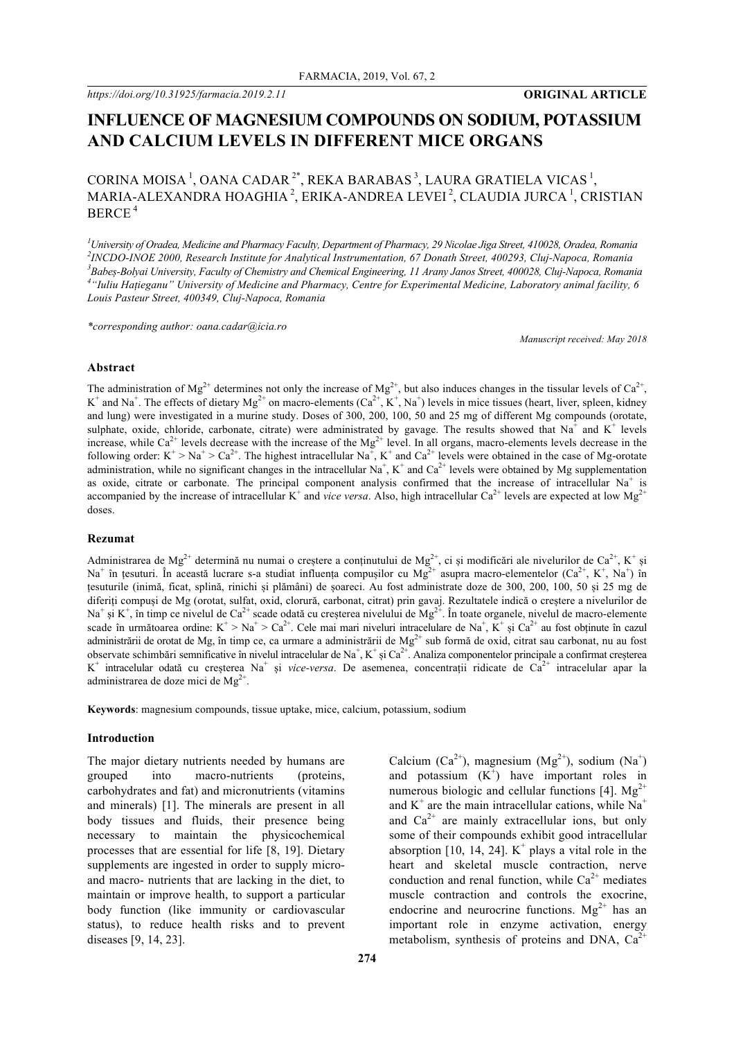# **INFLUENCE OF MAGNESIUM COMPOUNDS ON SODIUM, POTASSIUM AND CALCIUM LEVELS IN DIFFERENT MICE ORGANS**

# CORINA MOISA<sup>1</sup>, OANA CADAR<sup>2\*</sup>, REKA BARABAS<sup>3</sup>, LAURA GRATIELA VICAS<sup>1</sup>, MARIA-ALEXANDRA HOAGHIA<sup>2</sup>, ERIKA-ANDREA LEVEI<sup>2</sup>, CLAUDIA JURCA<sup>1</sup>, CRISTIAN BERCE <sup>4</sup>

 *University of Oradea, Medicine and Pharmacy Faculty, Department of Pharmacy, 29 Nicolae Jiga Street, 410028, Oradea, Romania INCDO-INOE 2000, Research Institute for Analytical Instrumentation, 67 Donath Street, 400293, Cluj-Napoca, Romania Babeș-Bolyai University, Faculty of Chemistry and Chemical Engineering, 11 Arany Janos Street, 400028, Cluj-Napoca, Romania "Iuliu Hațieganu" University of Medicine and Pharmacy, Centre for Experimental Medicine, Laboratory animal facility, 6 Louis Pasteur Street, 400349, Cluj-Napoca, Romania*

*\*corresponding author: oana.cadar@icia.ro*

*Manuscript received: May 2018*

#### **Abstract**

The administration of Mg<sup>2+</sup> determines not only the increase of Mg<sup>2+</sup>, but also induces changes in the tissular levels of Ca<sup>2+</sup>,  $K^+$  and Na<sup>+</sup>. The effects of dietary Mg<sup>2+</sup> on macro-elements (Ca<sup>2+</sup>,  $K^+$ , Na<sup>+</sup>) levels in mice tissues (heart, liver, spleen, kidney and lung) were investigated in a murine study. Doses of 300, 200, 100, 50 and 25 mg of different Mg compounds (orotate, sulphate, oxide, chloride, carbonate, citrate) were administrated by gavage. The results showed that Na<sup>+</sup> and K<sup>+</sup> levels increase, while  $Ca^{2+}$  levels decrease with the increase of the  $Mg^{2+}$  level. In all organs, macro-elements levels decrease in the following order:  $K^+ > Na^+ > Ca^{2+}$ . The highest intracellular  $Na^+$ ,  $K^+$  and  $Ca^{2+}$  levels were obtained in the case of Mg-orotate administration, while no significant changes in the intracellular Na<sup>+</sup>, K<sup>+</sup> and Ca<sup>2+</sup> levels were obtained by Mg supplementation as oxide, citrate or carbonate. The principal component analysis confirmed that the increase of intracellular Na<sup>+</sup> is accompanied by the increase of intracellular  $K^+$  and *vice versa*. Also, high intracellular Ca<sup>2+</sup> levels are expected at low Mg<sup>2+</sup> doses.

#### **Rezumat**

Administrarea de Mg<sup>2+</sup> determină nu numai o creștere a conținutului de Mg<sup>2+</sup>, ci și modificări ale nivelurilor de Ca<sup>2+</sup>, K<sup>+</sup> și Na<sup>+</sup> în țesuturi. În această lucrare s-a studiat influența compușilor cu  $Mg^{2+}$  asupra macro-elementelor (Ca<sup>2+</sup>, K<sup>+</sup>, Na<sup>+</sup>) în țesuturile (inimă, ficat, splină, rinichi și plămâni) de șoareci. Au fost administrate doze de 300, 200, 100, 50 și 25 mg de diferiți compuși de Mg (orotat, sulfat, oxid, clorură, carbonat, citrat) prin gavaj. Rezultatele indică o creștere a nivelurilor de Na<sup>+</sup> și K<sup>+</sup>, în timp ce nivelul de Ca<sup>2+</sup> scade odată cu creșterea nivelului de Mg<sup>2+</sup>. În toate organele, nivelul de macro-elemente scade în următoarea ordine:  $K^+ > Na^+ > Ca^{2+}$ . Cele mai mari niveluri intracelulare de Na<sup>+</sup>, K<sup>+</sup> și Ca<sup>2+</sup> au fost obținute în cazul administrării de orotat de Mg, în timp ce, ca urmare a administrării de  $Mg^{2+}$  sub formă de oxid, citrat sau carbonat, nu au fost observate schimbări semnificative în nivelul intracelular de Na<sup>+</sup>, K<sup>+</sup> și Ca<sup>2+</sup>. Analiza componentelor principale a confirmat creșterea K<sup>+</sup> intracelular odată cu creșterea Na<sup>+</sup> și *vice-versa*. De asemenea, concentrații ridicate de Ca<sup>2+</sup> intracelular apar la administrarea de doze mici de  $Mg^{2+}$ .

**Keywords**: magnesium compounds, tissue uptake, mice, calcium, potassium, sodium

#### **Introduction**

The major dietary nutrients needed by humans are grouped into macro-nutrients (proteins, carbohydrates and fat) and micronutrients (vitamins and minerals) [1]. The minerals are present in all body tissues and fluids, their presence being necessary to maintain the physicochemical processes that are essential for life [8, 19]. Dietary supplements are ingested in order to supply microand macro- nutrients that are lacking in the diet, to maintain or improve health, to support a particular body function (like immunity or cardiovascular status), to reduce health risks and to prevent diseases [9, 14, 23].

Calcium (Ca<sup>2+</sup>), magnesium (Mg<sup>2+</sup>), sodium (Na<sup>+</sup>) and potassium  $(K^+)$  have important roles in numerous biologic and cellular functions [4].  $Mg^{2+}$ and  $K^+$  are the main intracellular cations, while  $Na^+$ and  $Ca^{2+}$  are mainly extracellular ions, but only some of their compounds exhibit good intracellular absorption [10, 14, 24].  $K^+$  plays a vital role in the heart and skeletal muscle contraction, nerve conduction and renal function, while  $Ca^{2+}$  mediates muscle contraction and controls the exocrine, endocrine and neurocrine functions.  $Mg^{2+}$  has an important role in enzyme activation, energy metabolism, synthesis of proteins and DNA,  $Ca<sup>2</sup>$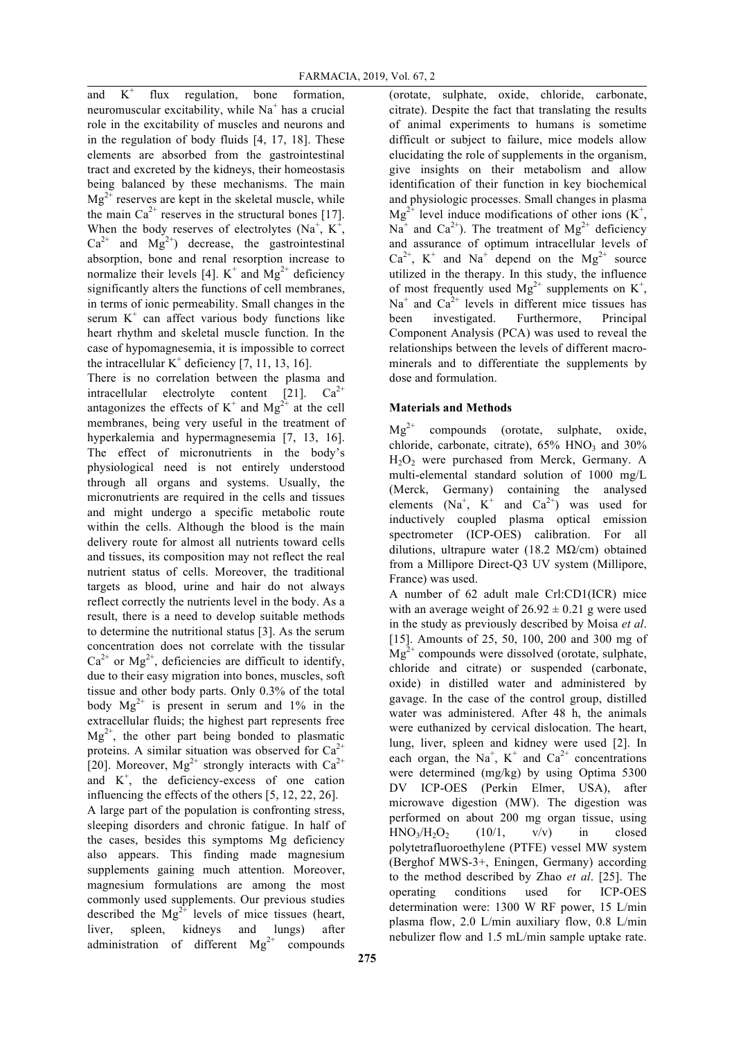and  $K^+$  flux regulation, bone formation, neuromuscular excitability, while  $Na<sup>+</sup>$  has a crucial role in the excitability of muscles and neurons and in the regulation of body fluids [4, 17, 18]. These elements are absorbed from the gastrointestinal tract and excreted by the kidneys, their homeostasis being balanced by these mechanisms. The main  $Mg^{2+}$  reserves are kept in the skeletal muscle, while the main  $Ca^{2+}$  reserves in the structural bones [17]. When the body reserves of electrolytes  $(Na^+, K^+,$  $Ca^{2+}$  and  $Mg^{2+}$ ) decrease, the gastrointestinal absorption, bone and renal resorption increase to normalize their levels [4].  $K^+$  and  $Mg^{2+}$  deficiency significantly alters the functions of cell membranes, in terms of ionic permeability. Small changes in the serum  $K^+$  can affect various body functions like heart rhythm and skeletal muscle function. In the case of hypomagnesemia, it is impossible to correct the intracellular  $K^+$  deficiency [7, 11, 13, 16].

There is no correlation between the plasma and intracellular electrolyte content [21].  $Ca^{2+}$ antagonizes the effects of  $K^+$  and  $Mg^{2^+}$  at the cell membranes, being very useful in the treatment of hyperkalemia and hypermagnesemia [7, 13, 16]. The effect of micronutrients in the body's physiological need is not entirely understood through all organs and systems. Usually, the micronutrients are required in the cells and tissues and might undergo a specific metabolic route within the cells. Although the blood is the main delivery route for almost all nutrients toward cells and tissues, its composition may not reflect the real nutrient status of cells. Moreover, the traditional targets as blood, urine and hair do not always reflect correctly the nutrients level in the body. As a result, there is a need to develop suitable methods to determine the nutritional status [3]. As the serum concentration does not correlate with the tissular  $Ca^{2+}$  or Mg<sup>2+</sup>, deficiencies are difficult to identify, due to their easy migration into bones, muscles, soft tissue and other body parts. Only 0.3% of the total body  $Mg^{2+}$  is present in serum and 1% in the extracellular fluids; the highest part represents free  $Mg^{2+}$ , the other part being bonded to plasmatic proteins. A similar situation was observed for  $Ca^{2+}$ [20]. Moreover,  $Mg^{2+}$  strongly interacts with  $Ca^{2+}$ and  $K^+$ , the deficiency-excess of one cation influencing the effects of the others [5, 12, 22, 26]. A large part of the population is confronting stress, sleeping disorders and chronic fatigue. In half of the cases, besides this symptoms Mg deficiency also appears. This finding made magnesium supplements gaining much attention. Moreover, magnesium formulations are among the most commonly used supplements. Our previous studies described the  $Mg^{2+}$  levels of mice tissues (heart, liver, spleen, kidneys and lungs) after administration of different  $Mg^{2+}$  compounds

(orotate, sulphate, oxide, chloride, carbonate, citrate). Despite the fact that translating the results of animal experiments to humans is sometime difficult or subject to failure, mice models allow elucidating the role of supplements in the organism, give insights on their metabolism and allow identification of their function in key biochemical and physiologic processes. Small changes in plasma  $Mg^{2+}$  level induce modifications of other ions (K<sup>+</sup>,  $Na<sup>+</sup>$  and  $Ca<sup>2+</sup>$ ). The treatment of  $Mg<sup>2+</sup>$  deficiency and assurance of optimum intracellular levels of  $Ca^{2+}$ , K<sup>+</sup> and Na<sup>+</sup> depend on the Mg<sup>2+</sup> source utilized in the therapy. In this study, the influence of most frequently used  $Mg^{2+}$  supplements on  $K^+$ ,  $Na<sup>+</sup>$  and  $Ca<sup>2+</sup>$  levels in different mice tissues has been investigated. Furthermore, Principal Component Analysis (PCA) was used to reveal the relationships between the levels of different macrominerals and to differentiate the supplements by dose and formulation.

# **Materials and Methods**

 $\text{Mg}^{2+}$  compounds (orotate, sulphate, oxide, chloride, carbonate, citrate),  $65\%$  HNO<sub>3</sub> and  $30\%$  $H_2O_2$  were purchased from Merck, Germany. A multi-elemental standard solution of 1000 mg/L (Merck, Germany) containing the analysed elements  $(Na^+, K^+$  and  $Ca^{2+})$  was used for inductively coupled plasma optical emission spectrometer (ICP-OES) calibration. For all dilutions, ultrapure water (18.2 M $\Omega$ /cm) obtained from a Millipore Direct-Q3 UV system (Millipore, France) was used.

A number of 62 adult male Crl:CD1(ICR) mice with an average weight of  $26.92 \pm 0.21$  g were used in the study as previously described by Moisa *et al*. [15]. Amounts of 25, 50, 100, 200 and 300 mg of  $Mg^{2+}$  compounds were dissolved (orotate, sulphate, chloride and citrate) or suspended (carbonate, oxide) in distilled water and administered by gavage. In the case of the control group, distilled water was administered. After 48 h, the animals were euthanized by cervical dislocation. The heart, lung, liver, spleen and kidney were used [2]. In each organ, the Na<sup>+</sup>, K<sup>+</sup> and Ca<sup>2+</sup> concentrations were determined (mg/kg) by using Optima 5300 DV ICP-OES (Perkin Elmer, USA), after microwave digestion (MW). The digestion was performed on about 200 mg organ tissue, using  $HNO<sub>3</sub>/H<sub>2</sub>O<sub>2</sub>$  (10/1, v/v) in closed polytetrafluoroethylene (PTFE) vessel MW system (Berghof MWS-3+, Eningen, Germany) according to the method described by Zhao *et al*. [25]. The operating conditions used for ICP-OES determination were: 1300 W RF power, 15 L/min plasma flow, 2.0 L/min auxiliary flow, 0.8 L/min nebulizer flow and 1.5 mL/min sample uptake rate.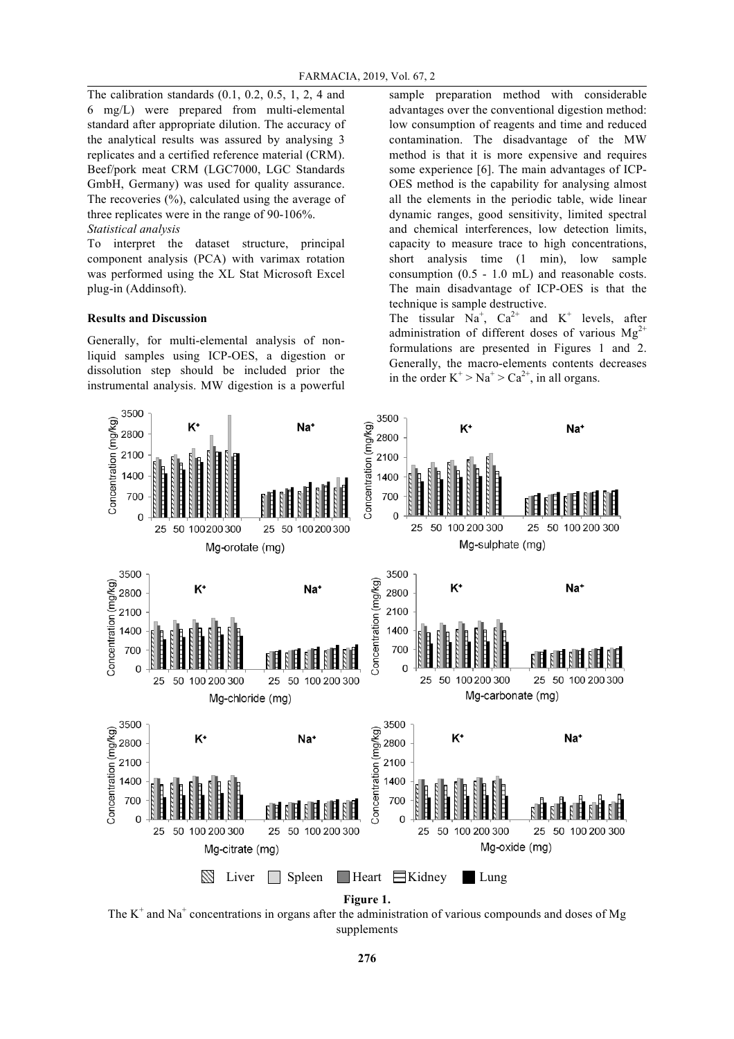The calibration standards (0.1, 0.2, 0.5, 1, 2, 4 and 6 mg/L) were prepared from multi-elemental standard after appropriate dilution. The accuracy of the analytical results was assured by analysing 3 replicates and a certified reference material (CRM). Beef/pork meat CRM (LGC7000, LGC Standards GmbH, Germany) was used for quality assurance. The recoveries  $(\%)$ , calculated using the average of three replicates were in the range of 90-106%. *Statistical analysis* 

To interpret the dataset structure, principal component analysis (PCA) with varimax rotation was performed using the XL Stat Microsoft Excel plug-in (Addinsoft).

## **Results and Discussion**

Generally, for multi-elemental analysis of nonliquid samples using ICP-OES, a digestion or dissolution step should be included prior the instrumental analysis. MW digestion is a powerful

sample preparation method with considerable advantages over the conventional digestion method: low consumption of reagents and time and reduced contamination. The disadvantage of the MW method is that it is more expensive and requires some experience [6]. The main advantages of ICP-OES method is the capability for analysing almost all the elements in the periodic table, wide linear dynamic ranges, good sensitivity, limited spectral and chemical interferences, low detection limits, capacity to measure trace to high concentrations, short analysis time (1 min), low sample consumption (0.5 - 1.0 mL) and reasonable costs. The main disadvantage of ICP-OES is that the technique is sample destructive.

The tissular  $Na^+$ ,  $Ca^{2+}$  and  $K^+$  levels, after administration of different doses of various  $Mg^{2+}$ formulations are presented in Figures 1 and 2. Generally, the macro-elements contents decreases in the order  $K^+$  >  $Na^+$  >  $Ca^{2+}$ , in all organs.



The  $K^+$  and Na<sup>+</sup> concentrations in organs after the administration of various compounds and doses of Mg supplements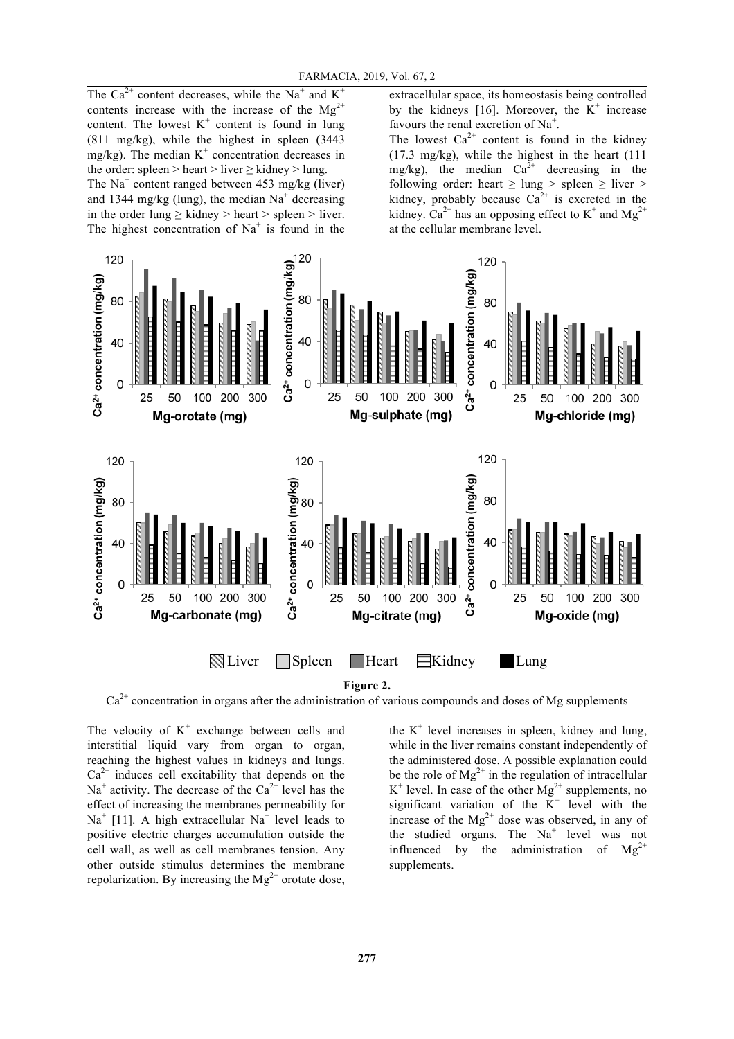The Ca<sup>2+</sup> content decreases, while the Na<sup>+</sup> and K<sup>+</sup> contents increase with the increase of the  $Mg^{2+}$ content. The lowest  $K^+$  content is found in lung (811 mg/kg), while the highest in spleen (3443 mg/kg). The median  $K^+$  concentration decreases in the order: spleen > heart > liver  $\geq$  kidney > lung. The Na<sup>+</sup> content ranged between 453 mg/kg (liver) and 1344 mg/kg (lung), the median  $Na<sup>+</sup>$  decreasing in the order lung  $\geq$  kidney  $>$  heart  $>$  spleen  $>$  liver. The highest concentration of  $Na<sup>+</sup>$  is found in the

extracellular space, its homeostasis being controlled by the kidneys [16]. Moreover, the  $K^+$  increase favours the renal excretion of Na<sup>+</sup>.

The lowest  $Ca^{2+}$  content is found in the kidney (17.3 mg/kg), while the highest in the heart (111 mg/kg), the median  $Ca^{2+}$  decreasing in the following order: heart  $\geq$  lung  $>$  spleen  $\geq$  liver  $>$ kidney, probably because  $Ca^{2+}$  is excreted in the kidney.  $Ca^{2+}$  has an opposing effect to K<sup>+</sup> and Mg<sup>2+</sup> at the cellular membrane level.



**Figure 2.**

 $Ca<sup>2+</sup>$  concentration in organs after the administration of various compounds and doses of Mg supplements

The velocity of  $K^+$  exchange between cells and interstitial liquid vary from organ to organ, reaching the highest values in kidneys and lungs.  $Ca<sup>2+</sup>$  induces cell excitability that depends on the  $Na<sup>+</sup>$  activity. The decrease of the  $Ca<sup>2+</sup>$  level has the effect of increasing the membranes permeability for  $Na<sup>+</sup>$  [11]. A high extracellular  $Na<sup>+</sup>$  level leads to positive electric charges accumulation outside the cell wall, as well as cell membranes tension. Any other outside stimulus determines the membrane repolarization. By increasing the  $Mg^{2+}$  orotate dose,

the  $K^+$  level increases in spleen, kidney and lung, while in the liver remains constant independently of the administered dose. A possible explanation could be the role of  $Mg^{2+}$  in the regulation of intracellular  $K^+$  level. In case of the other  $Mg^{2+}$  supplements, no significant variation of the  $K^+$  level with the increase of the  $Mg^{2+}$  dose was observed, in any of the studied organs. The  $Na<sup>+</sup>$  level was not influenced by the administration of  $Mg^{2+}$ supplements.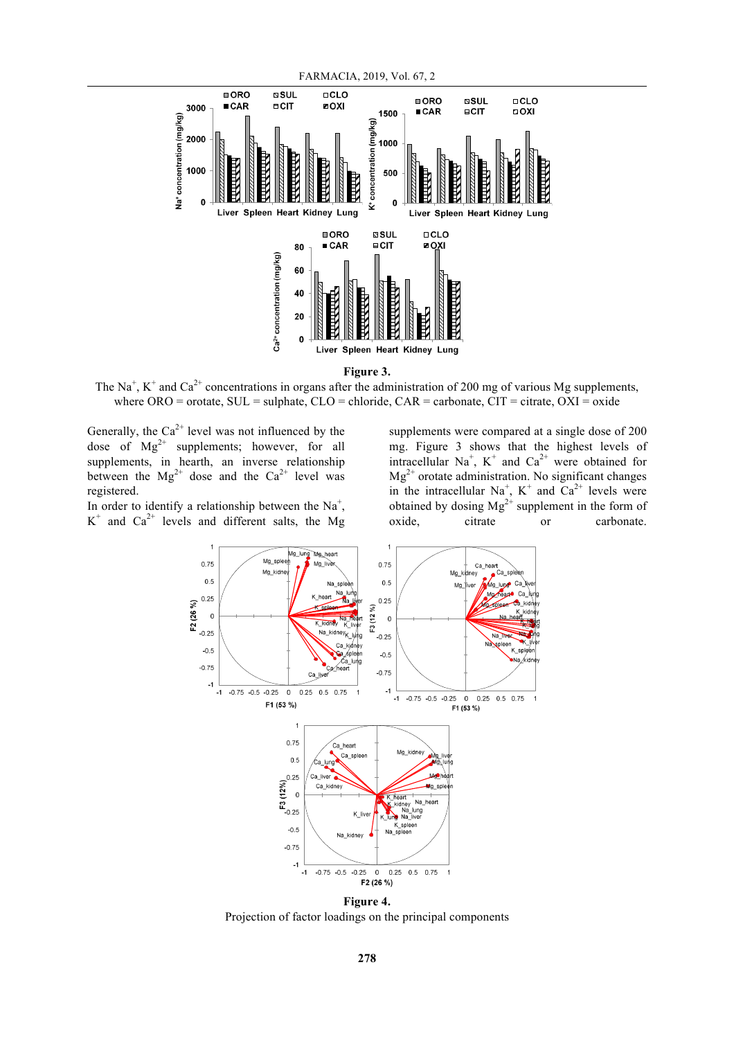

**Figure 3.**

The Na<sup>+</sup>, K<sup>+</sup> and Ca<sup>2+</sup> concentrations in organs after the administration of 200 mg of various Mg supplements, where  $ORO =$  orotate,  $SUL =$  sulphate,  $CLO =$  chloride,  $CAR =$  carbonate,  $CIT =$  citrate,  $OXI =$  oxide

Generally, the  $Ca^{2+}$  level was not influenced by the dose of  $Mg^{2+}$  supplements; however, for all supplements, in hearth, an inverse relationship between the  $Mg^{2+}$  dose and the Ca<sup>2+</sup> level was registered.

In order to identify a relationship between the  $Na<sup>+</sup>$ ,  $K^+$  and  $Ca^{2+}$  levels and different salts, the Mg

supplements were compared at a single dose of 200 mg. Figure 3 shows that the highest levels of intracellular Na<sup>+</sup>, K<sup>+</sup> and Ca<sup>2+</sup> were obtained for  $Mg^{2+}$  orotate administration. No significant changes in the intracellular  $Na^{+}$ ,  $K^{+}$  and  $Ca^{2+}$  levels were obtained by dosing  $Mg^{2+}$  supplement in the form of oxide, citrate or carbonate.



Projection of factor loadings on the principal components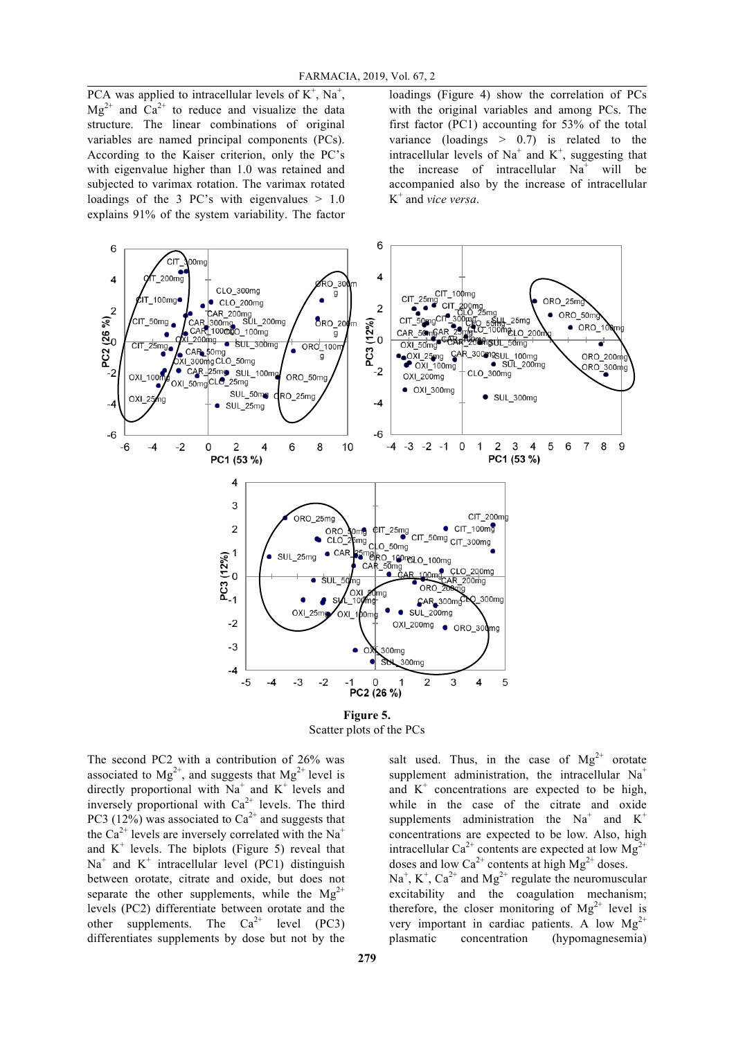PCA was applied to intracellular levels of  $K^+$ , Na<sup>+</sup>,  $Mg^{2+}$  and  $Ca^{2+}$  to reduce and visualize the data structure. The linear combinations of original variables are named principal components (PCs). According to the Kaiser criterion, only the PC's with eigenvalue higher than 1.0 was retained and subjected to varimax rotation. The varimax rotated loadings of the 3 PC's with eigenvalues  $> 1.0$ explains 91% of the system variability. The factor

loadings (Figure 4) show the correlation of PCs with the original variables and among PCs. The first factor (PC1) accounting for 53% of the total variance (loadings  $> 0.7$ ) is related to the intracellular levels of  $Na<sup>+</sup>$  and  $K<sup>+</sup>$ , suggesting that the increase of intracellular  $Na<sup>+</sup>$  will be accompanied also by the increase of intracellular K<sup>+</sup> and *vice versa*.



**Figure 5.** Scatter plots of the PCs

The second PC2 with a contribution of 26% was associated to  $Mg^{2+}$ , and suggests that  $Mg^{2+}$  level is directly proportional with  $Na<sup>+</sup>$  and  $K<sup>+</sup>$  levels and inversely proportional with  $Ca^{2+}$  levels. The third PC3 (12%) was associated to  $Ca^{2+}$  and suggests that the Ca<sup>2+</sup> levels are inversely correlated with the Na<sup>+</sup> and  $K^+$  levels. The biplots (Figure 5) reveal that  $Na<sup>+</sup>$  and  $K<sup>+</sup>$  intracellular level (PC1) distinguish between orotate, citrate and oxide, but does not separate the other supplements, while the  $Mg^{2+}$ levels (PC2) differentiate between orotate and the other supplements. The  $Ca^{2+}$  level (PC3) differentiates supplements by dose but not by the

salt used. Thus, in the case of  $Mg^{2+}$  orotate supplement administration, the intracellular  $Na<sup>+</sup>$ and  $K^+$  concentrations are expected to be high, while in the case of the citrate and oxide supplements administration the  $Na<sup>+</sup>$  and  $K<sup>+</sup>$ concentrations are expected to be low. Also, high intracellular Ca<sup>2+</sup> contents are expected at low Mg<sup>2+</sup> doses and low  $Ca^{2+}$  contents at high  $Mg^{2+}$  doses.  $Na<sup>+</sup>, K<sup>+</sup>, Ca<sup>2+</sup>$  and  $Mg<sup>2+</sup>$  regulate the neuromuscular excitability and the coagulation mechanism; therefore, the closer monitoring of  $Mg^{2+}$  level is very important in cardiac patients. A low  $Mg^{2+}$ plasmatic concentration (hypomagnesemia)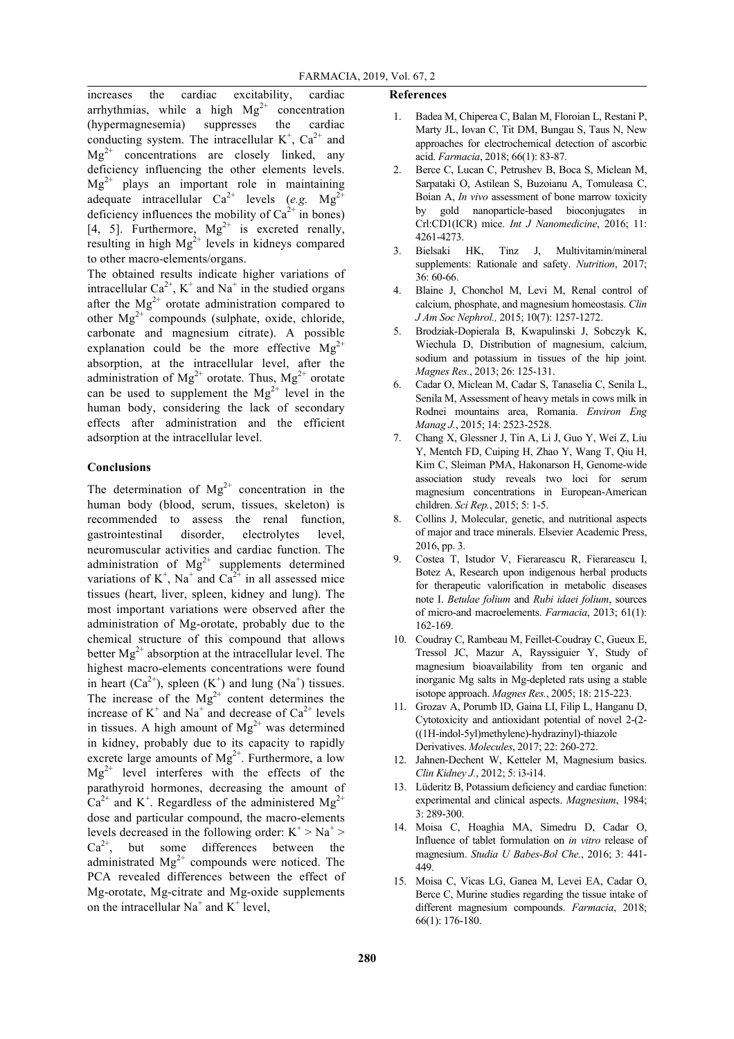increases the cardiac excitability, cardiac arrhythmias, while a high  $Mg^{2+}$  concentration (hypermagnesemia) suppresses the cardiac conducting system. The intracellular  $K^+$ ,  $Ca^{2+}$  and  $Mg^{2+}$  concentrations are closely linked, any deficiency influencing the other elements levels.  $Mg^{2+}$  plays an important role in maintaining adequate intracellular  $Ca^{2+}$  levels (*e.g.* Mg<sup>2+</sup> deficiency influences the mobility of  $Ca<sup>2+</sup>$  in bones) [4, 5]. Furthermore,  $Mg^{2+}$  is excreted renally, resulting in high  $Mg^{2+}$  levels in kidneys compared to other macro-elements/organs.

The obtained results indicate higher variations of intracellular  $Ca^{2+}$ , K<sup>+</sup> and Na<sup>+</sup> in the studied organs after the  $Mg^{2+}$  orotate administration compared to other Mg2+ compounds (sulphate, oxide, chloride, carbonate and magnesium citrate). A possible explanation could be the more effective  $Mg^{2+}$ absorption, at the intracellular level, after the administration of  $Mg^{2+}$  orotate. Thus,  $Mg^{2+}$  orotate can be used to supplement the  $Mg^{2+}$  level in the human body, considering the lack of secondary effects after administration and the efficient adsorption at the intracellular level.

### **Conclusions**

The determination of  $Mg^{2+}$  concentration in the human body (blood, serum, tissues, skeleton) is recommended to assess the renal function, gastrointestinal disorder, electrolytes level, neuromuscular activities and cardiac function. The administration of  $Mg^{2+}$  supplements determined variations of  $K^+$ , Na<sup>+</sup> and Ca<sup>2+</sup> in all assessed mice tissues (heart, liver, spleen, kidney and lung). The most important variations were observed after the administration of Mg-orotate, probably due to the chemical structure of this compound that allows better  $Mg^{2+}$  absorption at the intracellular level. The highest macro-elements concentrations were found in heart  $(Ca^{2+})$ , spleen  $(K^+)$  and lung  $(Na^+)$  tissues. The increase of the  $Mg^{2+}$  content determines the increase of  $K^+$  and Na<sup>+</sup> and decrease of Ca<sup>2+</sup> levels in tissues. A high amount of  $Mg^{2+}$  was determined in kidney, probably due to its capacity to rapidly excrete large amounts of  $Mg^{2+}$ . Furthermore, a low  $Mg^{2+}$  level interferes with the effects of the parathyroid hormones, decreasing the amount of  $Ca^{2+}$  and K<sup>+</sup>. Regardless of the administered Mg<sup>2+</sup> dose and particular compound, the macro-elements levels decreased in the following order:  $K^+ > Na^+ >$  $Ca^{2+}$ , but some differences between the administrated  $\text{Mg}^{2+}$  compounds were noticed. The PCA revealed differences between the effect of Mg-orotate, Mg-citrate and Mg-oxide supplements on the intracellular  $Na<sup>+</sup>$  and  $K<sup>+</sup>$  level,

#### **References**

- 1. Badea M, Chiperea C, Balan M, Floroian L, Restani P, Marty JL, Iovan C, Tit DM, Bungau S, Taus N, New approaches for electrochemical detection of ascorbic acid. *Farmacia*, 2018; 66(1): 83-87.
- 2. Berce C, Lucan C, Petrushev B, Boca S, Miclean M, Sarpataki O, Astilean S, Buzoianu A, Tomuleasa C, Boian A, *In vivo* assessment of bone marrow toxicity by gold nanoparticle-based bioconjugates in Crl:CD1(ICR) mice. *Int J Nanomedicine*, 2016; 11: 4261-4273.
- 3. Bielsaki HK, Tinz J, Multivitamin/mineral supplements: Rationale and safety. *Nutrition*, 2017; 36: 60-66.
- 4. Blaine J, Chonchol M, Levi M, Renal control of calcium, phosphate, and magnesium homeostasis. *Clin J Am Soc Nephrol.,* 2015; 10(7): 1257-1272.
- 5. Brodziak-Dopierala B, Kwapulinski J, Sobczyk K, Wiechula D, Distribution of magnesium, calcium, sodium and potassium in tissues of the hip joint. *Magnes Res.*, 2013; 26: 125-131.
- 6. Cadar O, Miclean M, Cadar S, Tanaselia C, Senila L, Senila M, Assessment of heavy metals in cows milk in Rodnei mountains area, Romania. *Environ Eng Manag J.*, 2015; 14: 2523-2528.
- 7. Chang X, Glessner J, Tin A, Li J, Guo Y, Wei Z, Liu Y, Mentch FD, Cuiping H, Zhao Y, Wang T, Qiu H, Kim C, Sleiman PMA, Hakonarson H, Genome-wide association study reveals two loci for serum magnesium concentrations in European-American children. *Sci Rep.*, 2015; 5: 1-5.
- Collins J, Molecular, genetic, and nutritional aspects of major and trace minerals. Elsevier Academic Press, 2016, pp. 3.
- 9. Costea T, Istudor V, Fierareascu R, Fierareascu I, Botez A, Research upon indigenous herbal products for therapeutic valorification in metabolic diseases note I. *Betulae folium* and *Rubi idaei folium*, sources of micro-and macroelements. *Farmacia*, 2013; 61(1): 162-169.
- 10. Coudray C, Rambeau M, Feillet-Coudray C, Gueux E, Tressol JC, Mazur A, Rayssiguier Y, Study of magnesium bioavailability from ten organic and inorganic Mg salts in Mg-depleted rats using a stable isotope approach. *Magnes Res.*, 2005; 18: 215-223.
- 11. Grozav A, Porumb ID, Gaina LI, Filip L, Hanganu D, Cytotoxicity and antioxidant potential of novel 2-(2- ((1H-indol-5yl)methylene)-hydrazinyl)-thiazole Derivatives. *Molecules*, 2017; 22: 260-272.
- 12. Jahnen-Dechent W, Ketteler M, Magnesium basics. *Clin Kidney J.*, 2012; 5: i3-i14.
- 13. Lüderitz B, Potassium deficiency and cardiac function: experimental and clinical aspects. *Magnesium*, 1984; 3: 289-300.
- 14. Moisa C, Hoaghia MA, Simedru D, Cadar O, Influence of tablet formulation on *in vitro* release of magnesium. *Studia U Babes-Bol Che.*, 2016; 3: 441- 449.
- 15. Moisa C, Vicas LG, Ganea M, Levei EA, Cadar O, Berce C, Murine studies regarding the tissue intake of different magnesium compounds. *Farmacia*, 2018; 66(1): 176-180.